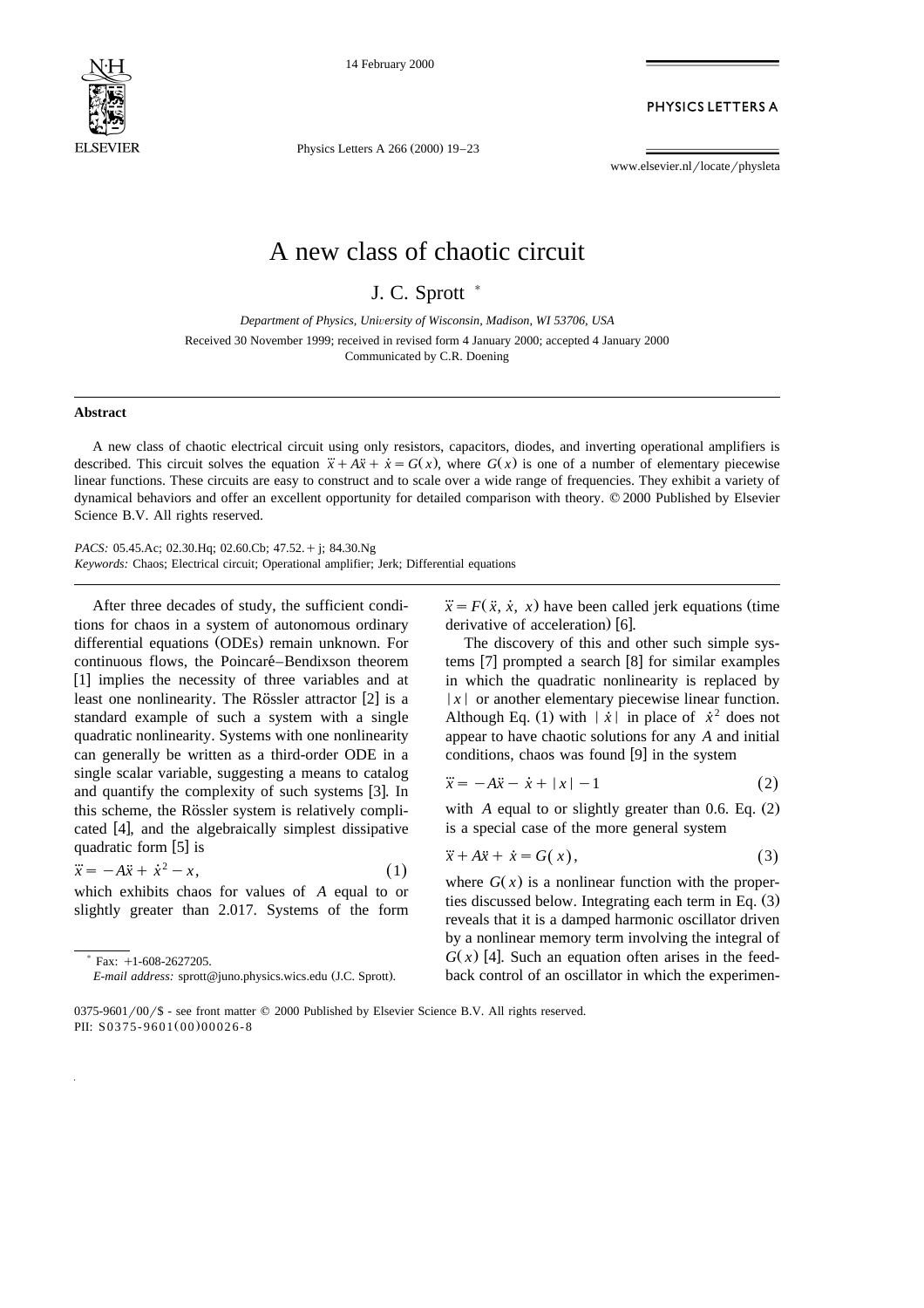

14 February 2000

PHYSICS LETTERS A

Physics Letters A 266 (2000) 19-23

www.elsevier.nl/locate/physleta

## A new class of chaotic circuit

J. C. Sprott  $*$ 

*Department of Physics, Uni*Õ*ersity of Wisconsin, Madison, WI 53706, USA*

Received 30 November 1999; received in revised form 4 January 2000; accepted 4 January 2000 Communicated by C.R. Doening

## **Abstract**

A new class of chaotic electrical circuit using only resistors, capacitors, diodes, and inverting operational amplifiers is described. This circuit solves the equation  $\ddot{x} + A\ddot{x} + \dot{x} = G(x)$ , where  $G(x)$  is one of a numb linear functions. These circuits are easy to construct and to scale over a wide range of frequencies. They exhibit a variety of dynamical behaviors and offer an excellent opportunity for detailed comparison with theory. © 2000 Published by Elsevier Science B.V. All rights reserved.

*PACS:* 05.45.Ac; 02.30.Hq; 02.60.Cb; 47.52. + j; 84.30.Ng *Keywords:* Chaos; Electrical circuit; Operational amplifier; Jerk; Differential equations

After three decades of study, the sufficient conditions for chaos in a system of autonomous ordinary differential equations (ODEs) remain unknown. For continuous flows, the Poincaré–Bendixson theorem [1] implies the necessity of three variables and at least one nonlinearity. The Rössler attractor  $[2]$  is a standard example of such a system with a single quadratic nonlinearity. Systems with one nonlinearity can generally be written as a third-order ODE in a single scalar variable, suggesting a means to catalog and quantify the complexity of such systems [3]. In this scheme, the Rössler system is relatively complicated [4], and the algebraically simplest dissipative quadratic form [5] is

$$
\ddot{x} = -A\ddot{x} + \dot{x}^2 - x,\tag{1}
$$

which exhibits chaos for values of *A* equal to or slightly greater than 2.017. Systems of the form

 $\dddot{x} = F(\ddot{x}, \dot{x}, x)$  have been called jerk equations (time derivative of acceleration) [6].

The discovery of this and other such simple systems  $[7]$  prompted a search  $[8]$  for similar examples in which the quadratic nonlinearity is replaced by  $|x|$  or another elementary piecewise linear function. Although Eq. (1) with  $|\dot{x}|$  in place of  $\dot{x}^2$  does not appear to have chaotic solutions for any *A* and initial conditions, chaos was found  $[9]$  in the system

$$
\ddot{x} = -A\ddot{x} - \dot{x} + |x| - 1 \tag{2}
$$

with  $\Lambda$  equal to or slightly greater than 0.6. Eq.  $(2)$ is a special case of the more general system

$$
\ddot{x} + A\ddot{x} + \dot{x} = G(x),\tag{3}
$$

where  $G(x)$  is a nonlinear function with the properties discussed below. Integrating each term in Eq.  $(3)$ reveals that it is a damped harmonic oscillator driven by a nonlinear memory term involving the integral of  $G(x)$  [4]. Such an equation often arises in the feedback control of an oscillator in which the experimen-

 $*$  Fax:  $+1-608-2627205$ .

*E-mail address:* sprott@juno.physics.wics.edu (J.C. Sprott).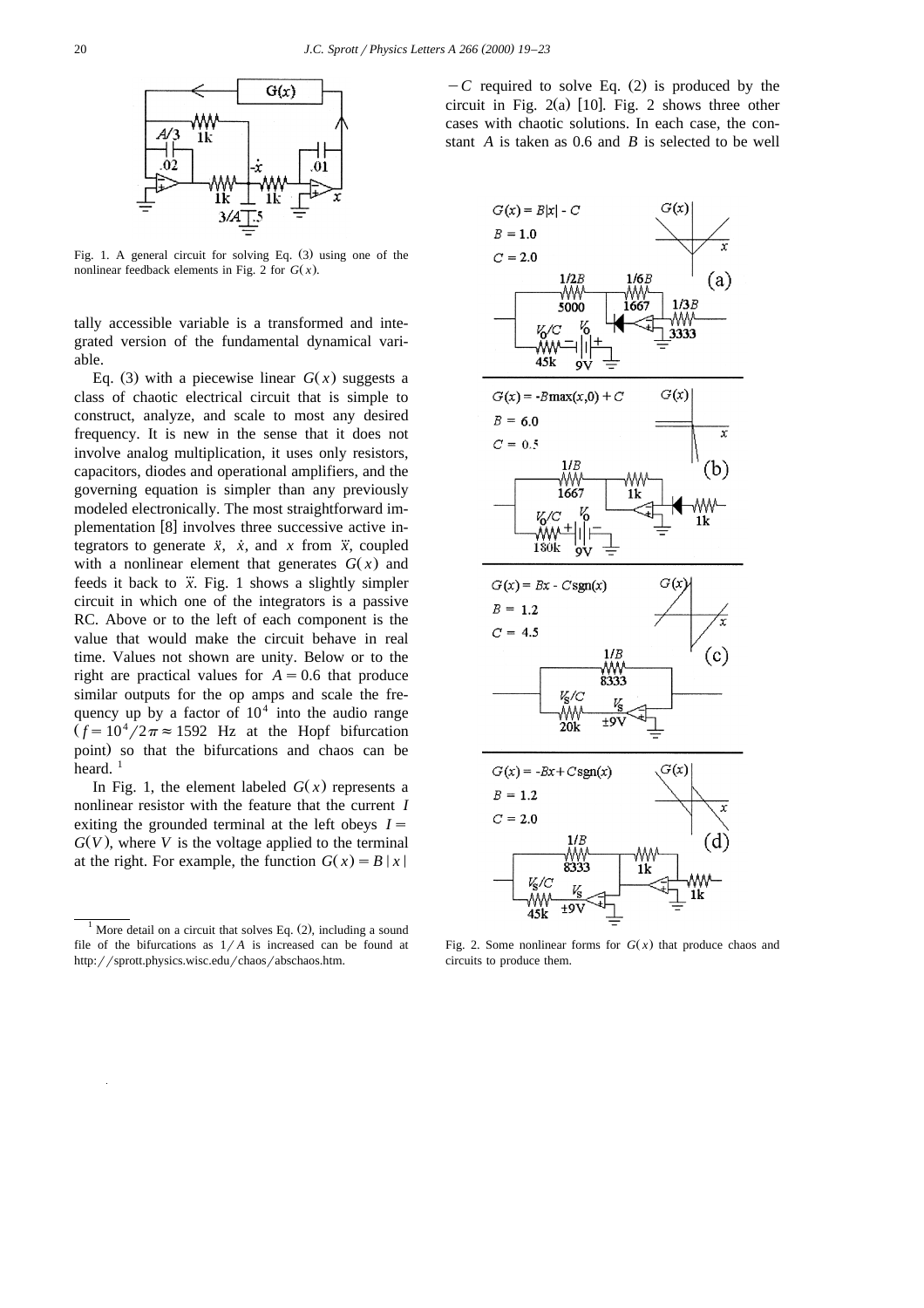

Fig. 1. A general circuit for solving Eq.  $(3)$  using one of the nonlinear feedback elements in Fig. 2 for  $G(x)$ .

tally accessible variable is a transformed and integrated version of the fundamental dynamical variable.

Eq. (3) with a piecewise linear  $G(x)$  suggests a class of chaotic electrical circuit that is simple to construct, analyze, and scale to most any desired frequency. It is new in the sense that it does not involve analog multiplication, it uses only resistors, capacitors, diodes and operational amplifiers, and the governing equation is simpler than any previously modeled electronically. The most straightforward implementation [8] involves three successive active integrators to generate  $\ddot{x}$ ,  $\dot{x}$ , and *x* from  $\dddot{x}$ , coupled with a nonlinear element that generates  $G(x)$  and feeds it back to  $\ddot{x}$ . Fig. 1 shows a slightly simpler circuit in which one of the integrators is a passive RC. Above or to the left of each component is the value that would make the circuit behave in real time. Values not shown are unity. Below or to the right are practical values for  $A = 0.6$  that produce similar outputs for the op amps and scale the frequency up by a factor of  $10<sup>4</sup>$  into the audio range  $(f = 10^4 / 2\pi \approx 1592$  Hz at the Hopf bifurcation point) so that the bifurcations and chaos can be heard.  $1$ 

In Fig. 1, the element labeled  $G(x)$  represents a nonlinear resistor with the feature that the current *I* exiting the grounded terminal at the left obeys  $I =$  $G(V)$ , where *V* is the voltage applied to the terminal at the right. For example, the function  $G(x) = B |x|$ 

 $-C$  required to solve Eq. (2) is produced by the circuit in Fig.  $2(a)$  [10]. Fig. 2 shows three other cases with chaotic solutions. In each case, the constant *A* is taken as 0.6 and *B* is selected to be well



Fig. 2. Some nonlinear forms for  $G(x)$  that produce chaos and circuits to produce them.

<sup>&</sup>lt;sup>1</sup> More detail on a circuit that solves Eq.  $(2)$ , including a sound file of the bifurcations as  $1/A$  is increased can be found at http://sprott.physics.wisc.edu/chaos/abschaos.htm.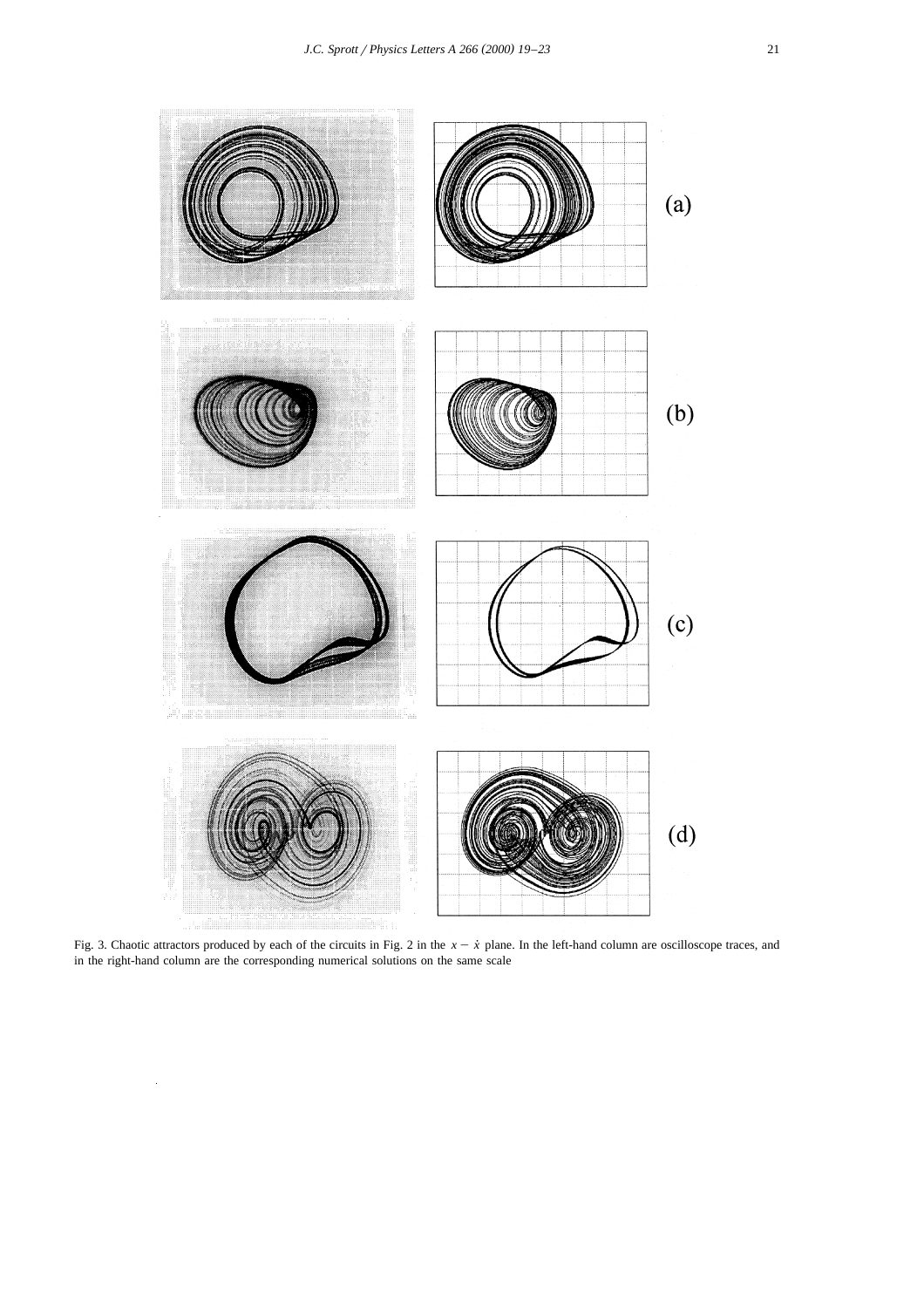

Fig. 3. Chaotic attractors produced by each of the circuits in Fig. 2 in the  $x - \dot{x}$  plane. In the left-hand column are oscilloscope traces, and in the right-hand column are the corresponding numerical solutions on the same scale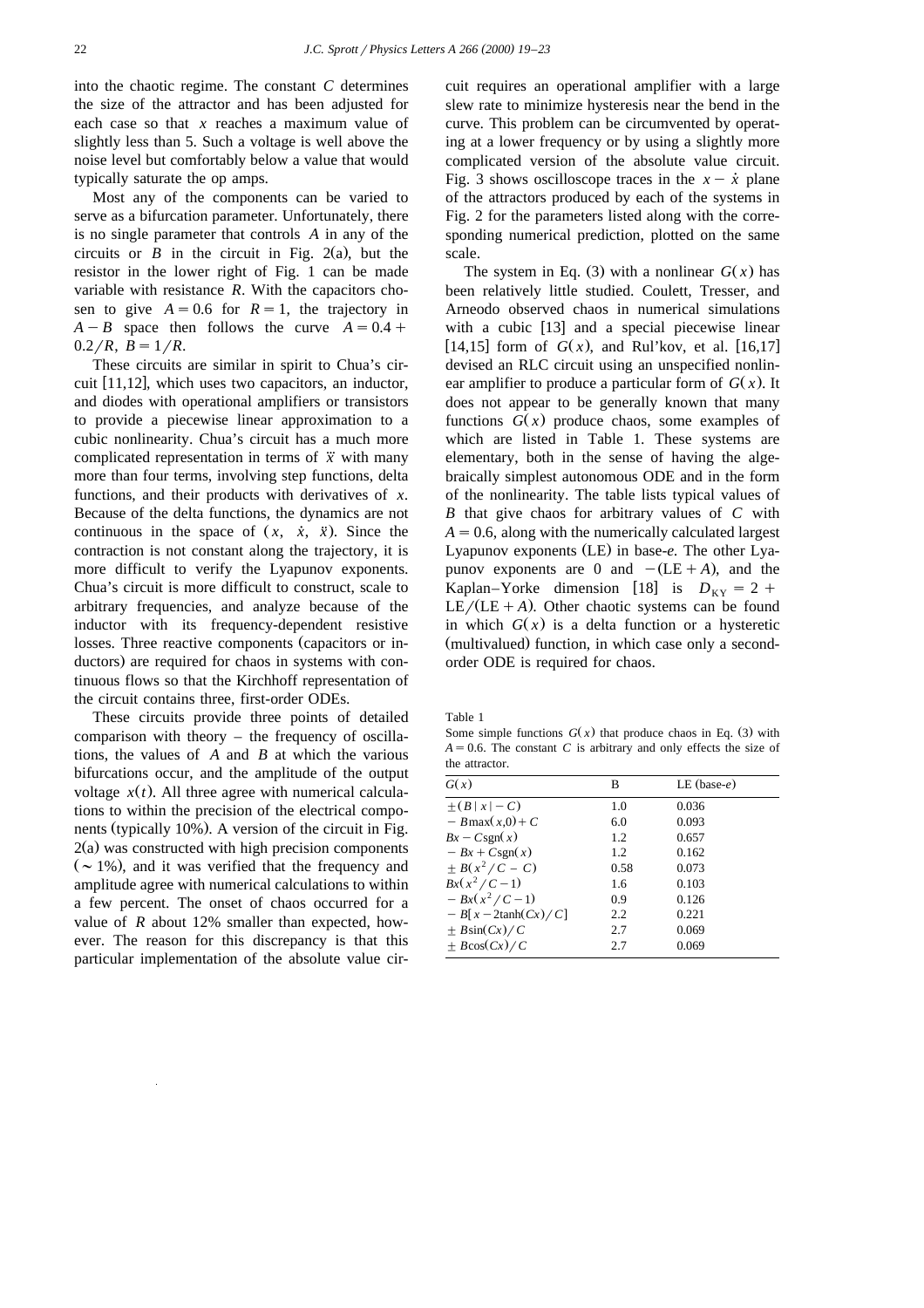into the chaotic regime. The constant *C* determines the size of the attractor and has been adjusted for each case so that *x* reaches a maximum value of slightly less than 5. Such a voltage is well above the noise level but comfortably below a value that would typically saturate the op amps.

Most any of the components can be varied to serve as a bifurcation parameter. Unfortunately, there is no single parameter that controls *A* in any of the circuits or  $B$  in the circuit in Fig. 2(a), but the resistor in the lower right of Fig. 1 can be made variable with resistance *R*. With the capacitors chosen to give  $A = 0.6$  for  $R = 1$ , the trajectory in  $A - B$  space then follows the curve  $A = 0.4 +$  $0.2/R$ ,  $B = 1/R$ .

These circuits are similar in spirit to Chua's circuit  $[11,12]$ , which uses two capacitors, an inductor, and diodes with operational amplifiers or transistors to provide a piecewise linear approximation to a cubic nonlinearity. Chua's circuit has a much more complicated representation in terms of  $\ddot{x}$  with many more than four terms, involving step functions, delta functions, and their products with derivatives of *x*. Because of the delta functions, the dynamics are not continuous in the space of  $(x, \dot{x}, \ddot{x})$ . Since the contraction is not constant along the trajectory, it is more difficult to verify the Lyapunov exponents. Chua's circuit is more difficult to construct, scale to arbitrary frequencies, and analyze because of the inductor with its frequency-dependent resistive losses. Three reactive components (capacitors or inductors) are required for chaos in systems with continuous flows so that the Kirchhoff representation of the circuit contains three, first-order ODEs.

These circuits provide three points of detailed comparison with theory – the frequency of oscillations, the values of *A* and *B* at which the various bifurcations occur, and the amplitude of the output voltage  $x(t)$ . All three agree with numerical calculations to within the precision of the electrical components (typically 10%). A version of the circuit in Fig.  $2(a)$  was constructed with high precision components  $({\sim}1\%)$ , and it was verified that the frequency and amplitude agree with numerical calculations to within a few percent. The onset of chaos occurred for a value of *R* about 12% smaller than expected, however. The reason for this discrepancy is that this particular implementation of the absolute value cir-

cuit requires an operational amplifier with a large slew rate to minimize hysteresis near the bend in the curve. This problem can be circumvented by operating at a lower frequency or by using a slightly more complicated version of the absolute value circuit. Fig. 3 shows oscilloscope traces in the  $x - \dot{x}$  plane of the attractors produced by each of the systems in Fig. 2 for the parameters listed along with the corresponding numerical prediction, plotted on the same scale.

The system in Eq. (3) with a nonlinear  $G(x)$  has been relatively little studied. Coulett, Tresser, and Arneodo observed chaos in numerical simulations with a cubic  $[13]$  and a special piecewise linear [14,15] form of  $G(x)$ , and Rul'kov, et al. [16,17] devised an RLC circuit using an unspecified nonlinear amplifier to produce a particular form of  $G(x)$ . It does not appear to be generally known that many functions  $G(x)$  produce chaos, some examples of which are listed in Table 1. These systems are elementary, both in the sense of having the algebraically simplest autonomous ODE and in the form of the nonlinearity. The table lists typical values of *B* that give chaos for arbitrary values of *C* with  $A = 0.6$ , along with the numerically calculated largest Lyapunov exponents (LE) in base-e. The other Lyapunov exponents are 0 and  $-(LE+A)$ , and the Kaplan–Yorke dimension [18] is  $D_{KY} = 2 +$  $LE/(LE + A)$ . Other chaotic systems can be found in which  $G(x)$  is a delta function or a hysteretic (multivalued) function, in which case only a secondorder ODE is required for chaos.

Table 1

Some simple functions  $G(x)$  that produce chaos in Eq. (3) with  $A = 0.6$ . The constant *C* is arbitrary and only effects the size of the attractor.

| G(x)                 | В    | LE (base- $e$ ) |  |
|----------------------|------|-----------------|--|
| $+(B x -C)$          | 1.0  | 0.036           |  |
| $-Bmax(x,0) + C$     | 6.0  | 0.093           |  |
| $Bx - Csgn(x)$       | 1.2  | 0.657           |  |
| $-Bx + Csgn(x)$      | 1.2  | 0.162           |  |
| $\pm B(x^2/C-C)$     | 0.58 | 0.073           |  |
| $Bx(x^2/C-1)$        | 1.6  | 0.103           |  |
| $-Bx(x^2/C-1)$       | 0.9  | 0.126           |  |
| $-B[x-2\tanh(Cx)/C]$ | 2.2  | 0.221           |  |
| $\pm B\sin(Cx)/C$    | 2.7  | 0.069           |  |
| $\pm$ Bcos(Cx)/C     | 2.7  | 0.069           |  |